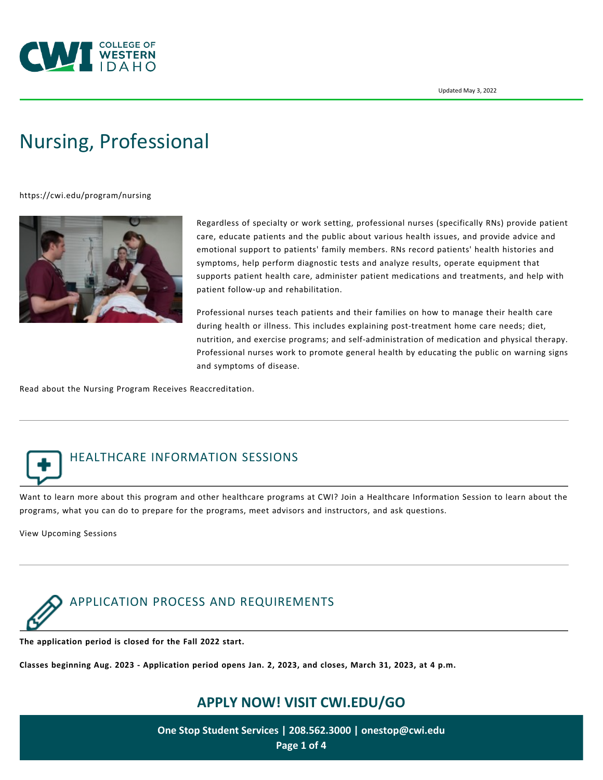

# [Nursing, Professional](https://cwi.edu/program/nursing)

<https://cwi.edu/program/nursing>



Regardless of specialty or work setting, professional nurses (specifically RNs) provide patient care, educate patients and the public about various health issues, and provide advice and emotional support to patients' family members. RNs record patients' health histories and symptoms, help perform diagnostic tests and analyze results, operate equipment that supports patient health care, administer patient medications and treatments, and help with patient follow-up and rehabilitation.

Professional nurses teach patients and their families on how to manage their health care during health or illness. This includes explaining post-treatment home care needs; diet, nutrition, and exercise programs; and self-administration of medication and physical therapy. Professional nurses work to promote general health by educating the public on warning signs and symptoms of disease.

Read about the [Nursing Program Receives Reaccreditation](https://cwi.edu/news/news-room/nursing-program-receives-reaccreditation).



# HEALTHCARE INFORMATION SESSIONS

Want to learn more about this program and other healthcare programs at CWI? Join a Healthcare Information Session to learn about the programs, what you can do to prepare for the programs, meet advisors and instructors, and ask questions.

[View Upcoming Sessions](https://cwi.edu/file/healthcare-sessions-flyer)



**The application period is closed for the Fall 2022 start.**

**Classes beginning Aug. 2023 - Application period opens Jan. 2, 2023, and closes, March 31, 2023, at 4 p.m.**

# **APPLY NOW! VISIT [CWI.EDU/GO](http://cwi.edu/go)**

**One Stop Student Services | 208.562.3000 | [onestop@cwi.edu](mailto:onestop@cwi.edu) Page 1 of 4**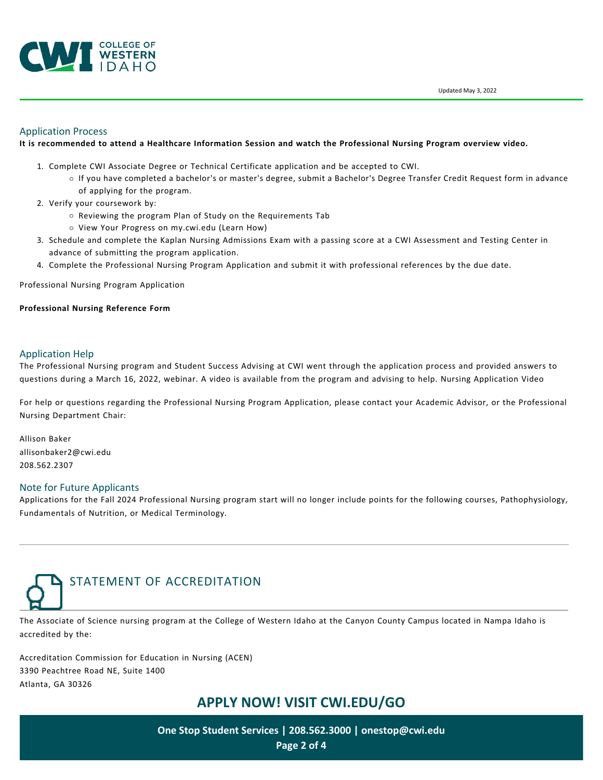

Updated May 3, 2022

#### Application Process

#### **It is recommended to attend a [Healthcare Information Session](https://cwi.edu/file/healthcare-sessions-flyer) and watch the [Professional Nursing Program](https://youtu.be/zbJI3C4BKZM) overview video.**

- 1. Complete [CWI Associate Degree or Technical Certificate application](https://cwi.edu/future-students/associate-degrees-or-technical-certificates) and be accepted to CWI.
	- If you have completed a bachelor's or master's degree, submit a [Bachelor's Degree Transfer Credit Request form](https://cwi.edu/file/bachelors-degree-transfer-credit-request-form) in advance of applying for the program.
- 2. Verify your coursework by:
	- o Reviewing the program Plan of Study on the Requirements Tab
	- o View Your Progress on [my.cwi.edu](https://my.cwi.edu/) [\(Learn How](https://cwi.edu/current-students/viewing-your-progress-towards-graduation))
- 3. Schedule and complete the Kaplan Nursing Admissions Exam with a passing score at a [CWI Assessment and Testing Center](https://cwi.edu/current-students/assessment-and-testing-centers) in advance of submitting the program application.
- 4. Complete the [Professional Nursing Program Application](https://cwi.edu/file/professional-nursing-application) and submit it with professional references by the due date.

#### [Professional Nursing Program Application](https://cwi.edu/file/professional-nursing-application)

#### **[Professional Nursing Reference Form](https://cwi.edu/sites/default/files/imce/PDF/PTEHealthPrograms/2019_-_nursing_reference_form_edits_04.03.2019.pdf)**

#### Application Help

The Professional Nursing program and Student Success Advising at CWI went through the application process and provided answers to questions during a March 16, 2022, webinar. A video is available from the program and advising to help. [Nursing Application Video](https://cwi.edu/file/professional-nursing-application-recorded-webinar)

For help or questions regarding the Professional Nursing Program Application, please contact your [Academic Advisor,](https://cwi.edu/current-students/student-success-advisors) or the Professional Nursing Department Chair:

Allison Baker [allisonbaker2@cwi.edu](mailto:allisonbaker2@cwi.edu) 208.562.2307

#### Note for Future Applicants

Applications for the Fall 2024 Professional Nursing program start will no longer include points for the following courses, Pathophysiology, Fundamentals of Nutrition, or Medical Terminology.



The Associate of Science nursing program at the College of Western Idaho at the Canyon County Campus located in Nampa Idaho is accredited by the:

Accreditation Commission for Education in Nursing (ACEN) 3390 Peachtree Road NE, Suite 1400 Atlanta, GA 30326

## **APPLY NOW! VISIT [CWI.EDU/GO](http://cwi.edu/go)**

**One Stop Student Services | 208.562.3000 | [onestop@cwi.edu](mailto:onestop@cwi.edu) Page 2 of 4**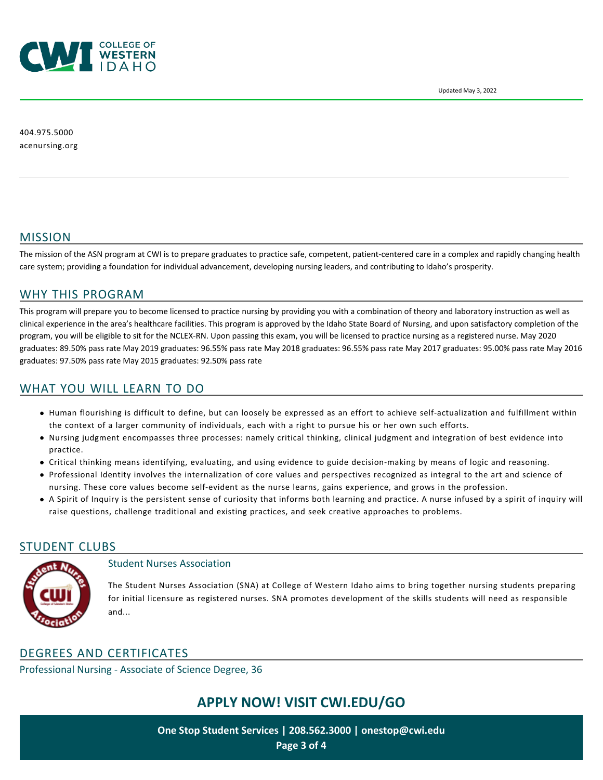

404.975.5000 [acenursing.org](https://www.acenursing.org/)

## MISSION

The mission of the ASN program at CWI is to prepare graduates to practice safe, competent, patient-centered care in a complex and rapidly changing health care system; providing a foundation for individual advancement, developing nursing leaders, and contributing to Idaho's prosperity.

## WHY THIS PROGRAM

This program will prepare you to become licensed to practice nursing by providing you with a combination of theory and laboratory instruction as well as clinical experience in the area's healthcare facilities. This program is approved by the Idaho State Board of Nursing, and upon satisfactory completion of the program, you will be eligible to sit for the NCLEX-RN. Upon passing this exam, you will be licensed to practice nursing as a registered nurse. May 2020 graduates: 89.50% pass rate May 2019 graduates: 96.55% pass rate May 2018 graduates: 96.55% pass rate May 2017 graduates: 95.00% pass rate May 2016 graduates: 97.50% pass rate May 2015 graduates: 92.50% pass rate

## WHAT YOU WILL LEARN TO DO

- Human flourishing is difficult to define, but can loosely be expressed as an effort to achieve self-actualization and fulfillment within the context of a larger community of individuals, each with a right to pursue his or her own such efforts.
- Nursing judgment encompasses three processes: namely critical thinking, clinical judgment and integration of best evidence into practice.
- Critical thinking means identifying, evaluating, and using evidence to guide decision-making by means of logic and reasoning.
- Professional Identity involves the internalization of core values and perspectives recognized as integral to the art and science of nursing. These core values become self-evident as the nurse learns, gains experience, and grows in the profession.
- A Spirit of Inquiry is the persistent sense of curiosity that informs both learning and practice. A nurse infused by a spirit of inquiry will raise questions, challenge traditional and existing practices, and seek creative approaches to problems.

#### STUDENT CLUBS



#### Student Nurses Association

The Student Nurses Association (SNA) at College of Western Idaho aims to bring together nursing students preparing for initial licensure as registered nurses. SNA promotes development of the skills students will need as responsible and...

## DEGREES AND CERTIFICATES

Professional Nursing - Associate of Science Degree, 36

# **APPLY NOW! VISIT [CWI.EDU/GO](http://cwi.edu/go)**

**One Stop Student Services | 208.562.3000 | [onestop@cwi.edu](mailto:onestop@cwi.edu) Page 3 of 4**